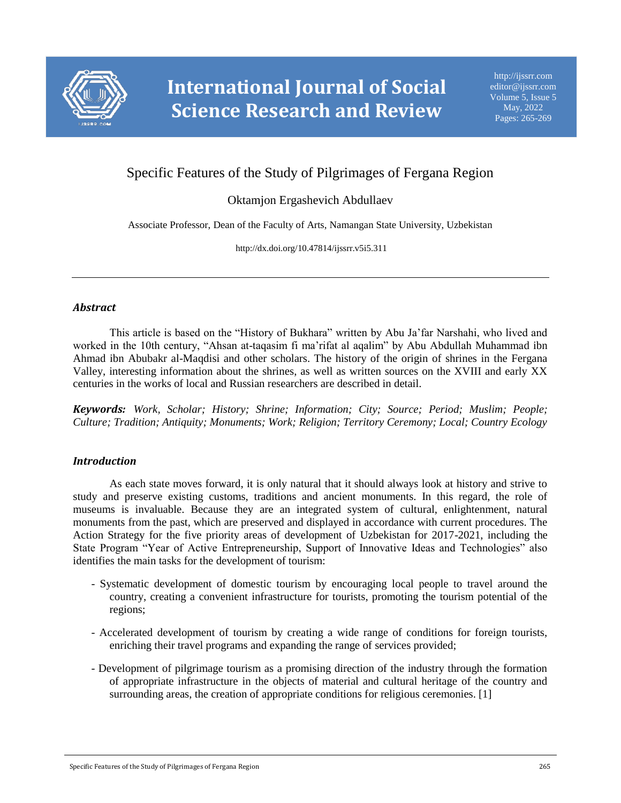

# Specific Features of the Study of Pilgrimages of Fergana Region

## Oktamjon Ergashevich Abdullaev

Associate Professor, Dean of the Faculty of Arts, Namangan State University, Uzbekistan

http://dx.doi.org/10.47814/ijssrr.v5i5.311

#### *Abstract*

This article is based on the "History of Bukhara" written by Abu Ja'far Narshahi, who lived and worked in the 10th century, "Ahsan at-taqasim fi ma'rifat al aqalim" by Abu Abdullah Muhammad ibn Ahmad ibn Abubakr al-Maqdisi and other scholars. The history of the origin of shrines in the Fergana Valley, interesting information about the shrines, as well as written sources on the XVIII and early XX centuries in the works of local and Russian researchers are described in detail.

*Keywords: Work, Scholar; History; Shrine; Information; City; Source; Period; Muslim; People; Culture; Tradition; Antiquity; Monuments; Work; Religion; Territory Ceremony; Local; Country Ecology*

### *Introduction*

As each state moves forward, it is only natural that it should always look at history and strive to study and preserve existing customs, traditions and ancient monuments. In this regard, the role of museums is invaluable. Because they are an integrated system of cultural, enlightenment, natural monuments from the past, which are preserved and displayed in accordance with current procedures. The Action Strategy for the five priority areas of development of Uzbekistan for 2017-2021, including the State Program "Year of Active Entrepreneurship, Support of Innovative Ideas and Technologies" also identifies the main tasks for the development of tourism:

- Systematic development of domestic tourism by encouraging local people to travel around the country, creating a convenient infrastructure for tourists, promoting the tourism potential of the regions;
- Accelerated development of tourism by creating a wide range of conditions for foreign tourists, enriching their travel programs and expanding the range of services provided;
- Development of pilgrimage tourism as a promising direction of the industry through the formation of appropriate infrastructure in the objects of material and cultural heritage of the country and surrounding areas, the creation of appropriate conditions for religious ceremonies. [1]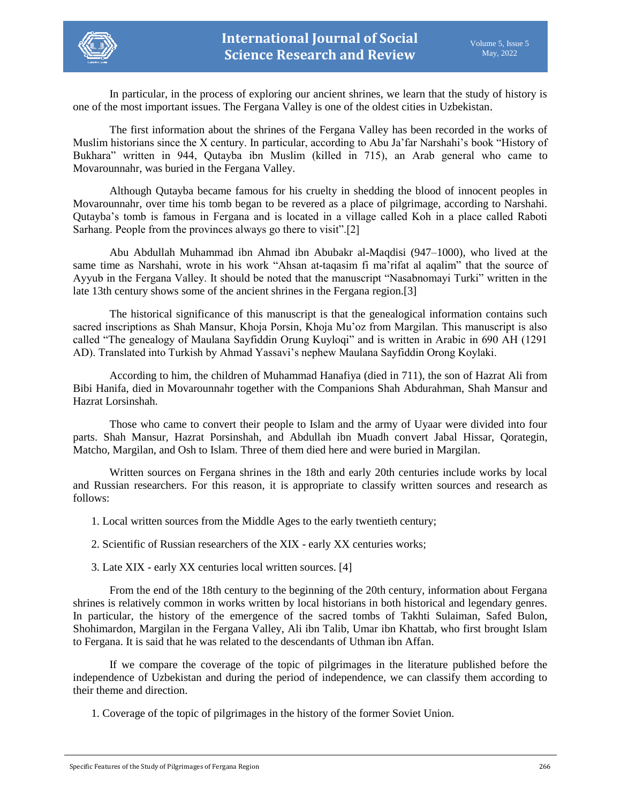

In particular, in the process of exploring our ancient shrines, we learn that the study of history is one of the most important issues. The Fergana Valley is one of the oldest cities in Uzbekistan.

The first information about the shrines of the Fergana Valley has been recorded in the works of Muslim historians since the X century. In particular, according to Abu Ja'far Narshahi's book "History of Bukhara" written in 944, Qutayba ibn Muslim (killed in 715), an Arab general who came to Movarounnahr, was buried in the Fergana Valley.

Although Qutayba became famous for his cruelty in shedding the blood of innocent peoples in Movarounnahr, over time his tomb began to be revered as a place of pilgrimage, according to Narshahi. Qutayba's tomb is famous in Fergana and is located in a village called Koh in a place called Raboti Sarhang. People from the provinces always go there to visit".[2]

Abu Abdullah Muhammad ibn Ahmad ibn Abubakr al-Maqdisi (947–1000), who lived at the same time as Narshahi, wrote in his work "Ahsan at-taqasim fi ma'rifat al aqalim" that the source of Ayyub in the Fergana Valley. It should be noted that the manuscript "Nasabnomayi Turki" written in the late 13th century shows some of the ancient shrines in the Fergana region.[3]

The historical significance of this manuscript is that the genealogical information contains such sacred inscriptions as Shah Mansur, Khoja Porsin, Khoja Mu'oz from Margilan. This manuscript is also called "The genealogy of Maulana Sayfiddin Orung Kuyloqi" and is written in Arabic in 690 AH (1291 AD). Translated into Turkish by Ahmad Yassavi's nephew Maulana Sayfiddin Orong Koylaki.

According to him, the children of Muhammad Hanafiya (died in 711), the son of Hazrat Ali from Bibi Hanifa, died in Movarounnahr together with the Companions Shah Abdurahman, Shah Mansur and Hazrat Lorsinshah.

Those who came to convert their people to Islam and the army of Uyaar were divided into four parts. Shah Mansur, Hazrat Porsinshah, and Abdullah ibn Muadh convert Jabal Hissar, Qorategin, Matcho, Margilan, and Osh to Islam. Three of them died here and were buried in Margilan.

Written sources on Fergana shrines in the 18th and early 20th centuries include works by local and Russian researchers. For this reason, it is appropriate to classify written sources and research as follows:

1. Local written sources from the Middle Ages to the early twentieth century;

2. Scientific of Russian researchers of the XIX - early XX centuries works;

3. Late XIX - early XX centuries local written sources. [4]

From the end of the 18th century to the beginning of the 20th century, information about Fergana shrines is relatively common in works written by local historians in both historical and legendary genres. In particular, the history of the emergence of the sacred tombs of Takhti Sulaiman, Safed Bulon, Shohimardon, Margilan in the Fergana Valley, Ali ibn Talib, Umar ibn Khattab, who first brought Islam to Fergana. It is said that he was related to the descendants of Uthman ibn Affan.

If we compare the coverage of the topic of pilgrimages in the literature published before the independence of Uzbekistan and during the period of independence, we can classify them according to their theme and direction.

1. Coverage of the topic of pilgrimages in the history of the former Soviet Union.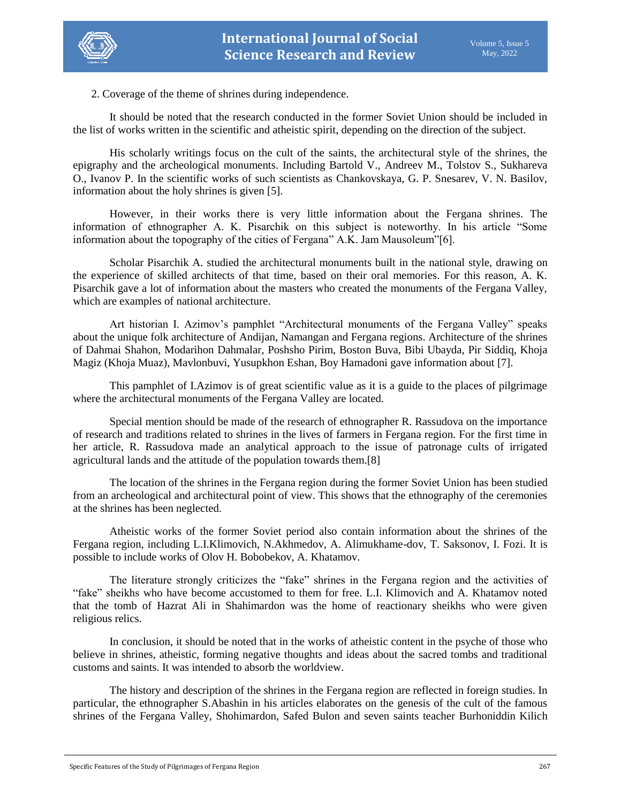



2. Coverage of the theme of shrines during independence.

It should be noted that the research conducted in the former Soviet Union should be included in the list of works written in the scientific and atheistic spirit, depending on the direction of the subject.

His scholarly writings focus on the cult of the saints, the architectural style of the shrines, the epigraphy and the archeological monuments. Including Bartold V., Andreev M., Tolstov S., Sukhareva O., Ivanov P. In the scientific works of such scientists as Chankovskaya, G. P. Snesarev, V. N. Basilov, information about the holy shrines is given [5].

However, in their works there is very little information about the Fergana shrines. The information of ethnographer A. K. Pisarchik on this subject is noteworthy. In his article "Some information about the topography of the cities of Fergana" A.K. Jam Mausoleum"[6].

Scholar Pisarchik A. studied the architectural monuments built in the national style, drawing on the experience of skilled architects of that time, based on their oral memories. For this reason, A. K. Pisarchik gave a lot of information about the masters who created the monuments of the Fergana Valley, which are examples of national architecture.

Art historian I. Azimov's pamphlet "Architectural monuments of the Fergana Valley" speaks about the unique folk architecture of Andijan, Namangan and Fergana regions. Architecture of the shrines of Dahmai Shahon, Modarihon Dahmalar, Poshsho Pirim, Boston Buva, Bibi Ubayda, Pir Siddiq, Khoja Magiz (Khoja Muaz), Mavlonbuvi, Yusupkhon Eshan, Boy Hamadoni gave information about [7].

This pamphlet of I.Azimov is of great scientific value as it is a guide to the places of pilgrimage where the architectural monuments of the Fergana Valley are located.

Special mention should be made of the research of ethnographer R. Rassudova on the importance of research and traditions related to shrines in the lives of farmers in Fergana region. For the first time in her article, R. Rassudova made an analytical approach to the issue of patronage cults of irrigated agricultural lands and the attitude of the population towards them.[8]

The location of the shrines in the Fergana region during the former Soviet Union has been studied from an archeological and architectural point of view. This shows that the ethnography of the ceremonies at the shrines has been neglected.

Atheistic works of the former Soviet period also contain information about the shrines of the Fergana region, including L.I.Klimovich, N.Akhmedov, A. Alimukhame-dov, T. Saksonov, I. Fozi. It is possible to include works of Olov H. Bobobekov, A. Khatamov.

The literature strongly criticizes the "fake" shrines in the Fergana region and the activities of "fake" sheikhs who have become accustomed to them for free. L.I. Klimovich and A. Khatamov noted that the tomb of Hazrat Ali in Shahimardon was the home of reactionary sheikhs who were given religious relics.

In conclusion, it should be noted that in the works of atheistic content in the psyche of those who believe in shrines, atheistic, forming negative thoughts and ideas about the sacred tombs and traditional customs and saints. It was intended to absorb the worldview.

The history and description of the shrines in the Fergana region are reflected in foreign studies. In particular, the ethnographer S.Abashin in his articles elaborates on the genesis of the cult of the famous shrines of the Fergana Valley, Shohimardon, Safed Bulon and seven saints teacher Burhoniddin Kilich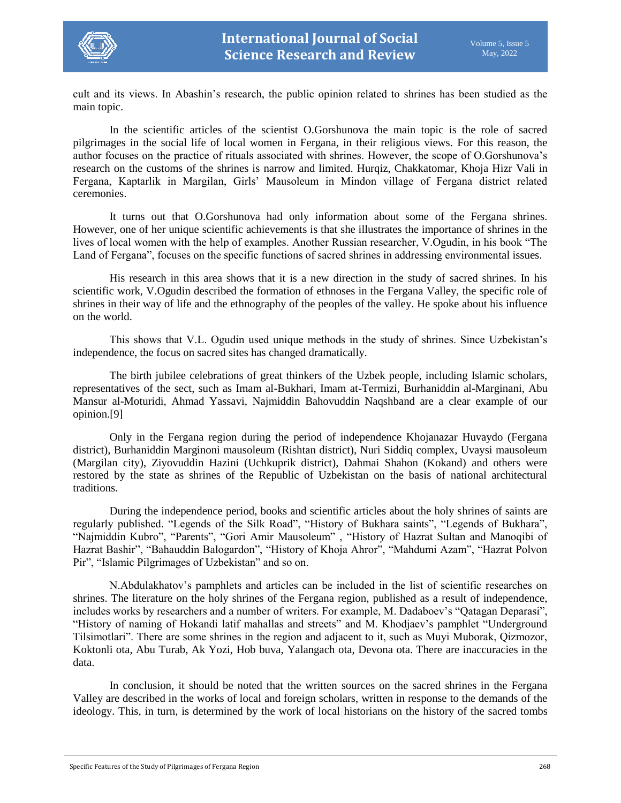

cult and its views. In Abashin's research, the public opinion related to shrines has been studied as the main topic.

In the scientific articles of the scientist O.Gorshunova the main topic is the role of sacred pilgrimages in the social life of local women in Fergana, in their religious views. For this reason, the author focuses on the practice of rituals associated with shrines. However, the scope of O.Gorshunova's research on the customs of the shrines is narrow and limited. Hurqiz, Chakkatomar, Khoja Hizr Vali in Fergana, Kaptarlik in Margilan, Girls' Mausoleum in Mindon village of Fergana district related ceremonies.

It turns out that O.Gorshunova had only information about some of the Fergana shrines. However, one of her unique scientific achievements is that she illustrates the importance of shrines in the lives of local women with the help of examples. Another Russian researcher, V.Ogudin, in his book "The Land of Fergana", focuses on the specific functions of sacred shrines in addressing environmental issues.

His research in this area shows that it is a new direction in the study of sacred shrines. In his scientific work, V.Ogudin described the formation of ethnoses in the Fergana Valley, the specific role of shrines in their way of life and the ethnography of the peoples of the valley. He spoke about his influence on the world.

This shows that V.L. Ogudin used unique methods in the study of shrines. Since Uzbekistan's independence, the focus on sacred sites has changed dramatically.

The birth jubilee celebrations of great thinkers of the Uzbek people, including Islamic scholars, representatives of the sect, such as Imam al-Bukhari, Imam at-Termizi, Burhaniddin al-Marginani, Abu Mansur al-Moturidi, Ahmad Yassavi, Najmiddin Bahovuddin Naqshband are a clear example of our opinion.[9]

Only in the Fergana region during the period of independence Khojanazar Huvaydo (Fergana district), Burhaniddin Marginoni mausoleum (Rishtan district), Nuri Siddiq complex, Uvaysi mausoleum (Margilan city), Ziyovuddin Hazini (Uchkuprik district), Dahmai Shahon (Kokand) and others were restored by the state as shrines of the Republic of Uzbekistan on the basis of national architectural traditions.

During the independence period, books and scientific articles about the holy shrines of saints are regularly published. "Legends of the Silk Road", "History of Bukhara saints", "Legends of Bukhara", "Najmiddin Kubro", "Parents", "Gori Amir Mausoleum" , "History of Hazrat Sultan and Manoqibi of Hazrat Bashir", "Bahauddin Balogardon", "History of Khoja Ahror", "Mahdumi Azam", "Hazrat Polvon Pir", "Islamic Pilgrimages of Uzbekistan" and so on.

N.Abdulakhatov's pamphlets and articles can be included in the list of scientific researches on shrines. The literature on the holy shrines of the Fergana region, published as a result of independence, includes works by researchers and a number of writers. For example, M. Dadaboev's "Qatagan Deparasi", "History of naming of Hokandi latif mahallas and streets" and M. Khodjaev's pamphlet "Underground Tilsimotlari". There are some shrines in the region and adjacent to it, such as Muyi Muborak, Qizmozor, Koktonli ota, Abu Turab, Ak Yozi, Hob buva, Yalangach ota, Devona ota. There are inaccuracies in the data.

In conclusion, it should be noted that the written sources on the sacred shrines in the Fergana Valley are described in the works of local and foreign scholars, written in response to the demands of the ideology. This, in turn, is determined by the work of local historians on the history of the sacred tombs